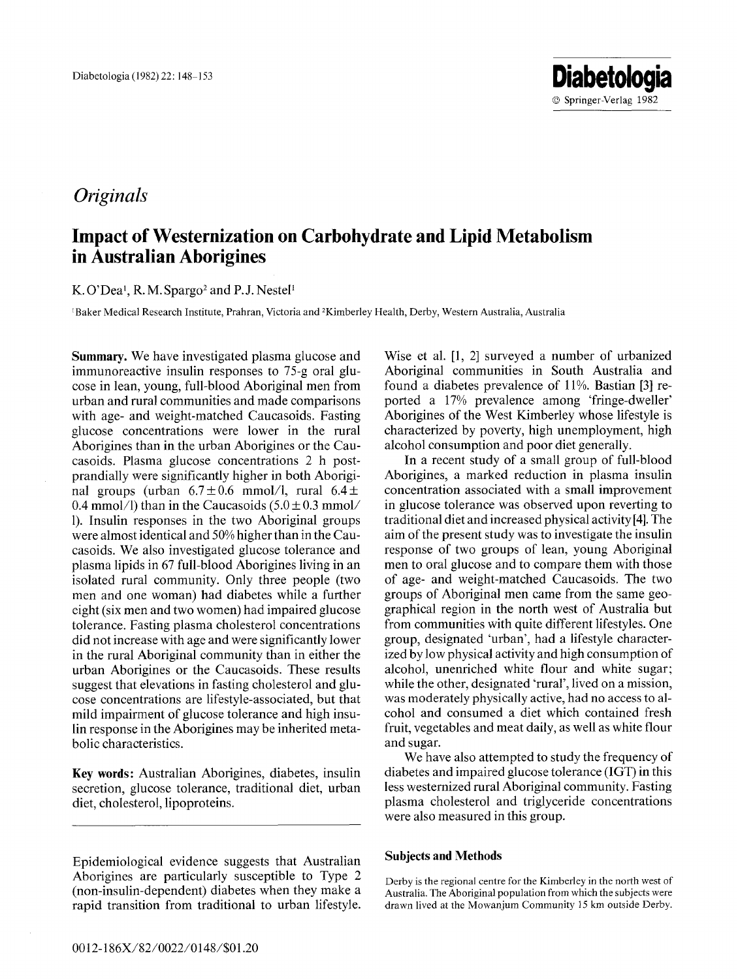

# *Originals*

# **Impact of Westernization on Carbohydrate and Lipid Metabolism in Australian Aborigines**

## K. O'Dea<sup>1</sup>, R. M. Spargo<sup>2</sup> and P. J. Nestel<sup>1</sup>

<sup>1</sup>Baker Medical Research Institute, Prahran, Victoria and <sup>2</sup>Kimberley Health, Derby, Western Australia, Australia

**Summary.** We have investigated plasma glucose and immunoreactive insulin responses to 75-g oral glucose in lean, young, full-blood Aboriginal men from urban and rural communities and made comparisons with age- and weight-matched Caucasoids. Fasting glucose concentrations were lower in the rural Aborigines than in the urban Aborigines or the Caucasoids. Plasma glucose concentrations 2 h postprandially were significantly higher in both Aboriginal groups (urban  $6.7 \pm 0.6$  mmol/l, rural  $6.4 \pm$ 0.4 mmol/l) than in the Caucasoids  $(5.0 \pm 0.3 \text{ mmol})$ 1). Insulin responses in the two Aboriginal groups were almost identical and 50% higher than in the Caucasoids. We also investigated glucose tolerance and plasma lipids in 67 full-blood Aborigines living in an isolated rural community. Only three people (two men and one woman) had diabetes while a further eight (six men and two women) had impaired glucose tolerance. Fasting plasma cholesterol concentrations did not increase with age and were significantly lower in the rural Aboriginal community than in either the urban Aborigines or the Caucasoids. These results suggest that elevations in fasting cholesterol and glucose concentrations are lifestyle-associated, but that mild impairment of glucose tolerance and high insulin response in the Aborigines may be inherited metabolic characteristics.

**Key words:** Australian Aborigines, diabetes, insulin secretion, glucose tolerance, traditional diet, urban diet, cholesterol, lipoproteins.

Epidemiological evidence suggests that Australian Aborigines are particularly susceptible to Type 2 (non-insulin-dependent) diabetes when they make a rapid transition from traditional to urban lifestyle. Wise et al. [1, 2] surveyed a number of urbanized Aboriginal communities in South Australia and found a diabetes prevalence of 11%. Bastian [3] reported a 17% prevalence among 'fringe-dweller' Aborigines of the West Kimberley whose lifestyle is characterized by poverty, high unemployment, high alcohol consumption and poor diet generally.

In a recent study of a small group of full-blood Aborigines, a marked reduction in plasma insulin concentration associated with a small improvement in glucose tolerance was observed upon reverting to traditional diet and increased physical activity [4]. The aim of the present study was to investigate the insulin response of two groups of lean, young Aboriginal men to oral glucose and to compare them with those of age- and weight-matched Caucasoids. The two groups of Aboriginal men came from the same geographical region in the north west of Australia but from communities with quite different lifestyles. One group, designated 'urban', had a lifestyle characterized by low physical activity and high consumption of alcohol, unenriched white flour and white sugar; while the other, designated 'rural', lived on a mission, was moderately physically active, had no access to alcohol and consumed a diet which contained fresh fruit, vegetables and meat daily, as well as white flour and sugar.

We have also attempted to study the frequency of diabetes and impaired glucose tolerance (IGT) in this less westernized rural Aboriginal community. Fasting plasma cholesterol and triglyceride concentrations were also measured in this group.

## **Subjects and Methods**

Derby is the regional centre for the Kimberley in the north west of Australia. The Aboriginal population from which the subjects were drawn lived at the Mowanjum Community 15 km outside Derby.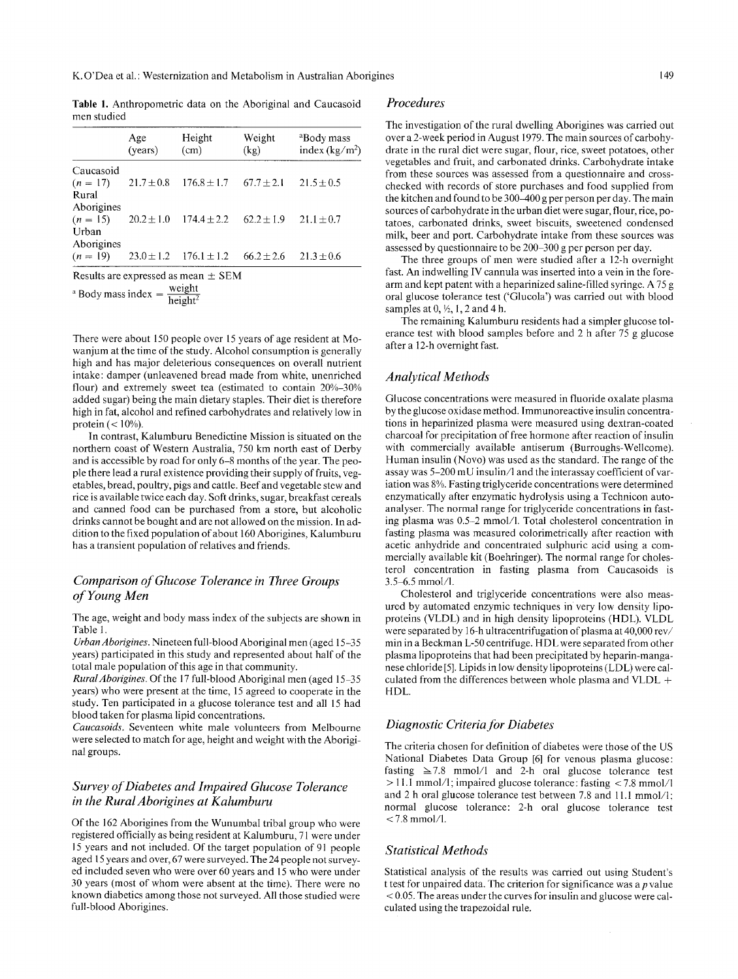**Table** 1. Anthropometric data on the Aboriginal and Caucasoid men studied

|                                                                        | Age<br>(years) | Height<br>(cm)                          | Weight<br>(kg) | <sup>a</sup> Body mass<br>index $(kg/m^2)$ |
|------------------------------------------------------------------------|----------------|-----------------------------------------|----------------|--------------------------------------------|
| Caucasoid<br>$(n = 17)$<br>Rural                                       | $21.7 \pm 0.8$ | $176.8 \pm 1.7$                         | $67.7 \pm 2.1$ | $21.5 \pm 0.5$                             |
| Aborigines<br>$(n = 15)$<br>Urban                                      | $20.2 \pm 1.0$ | $174.4 \pm 2.2$                         | $62.2 \pm 1.9$ | $21.1 \pm 0.7$                             |
| Aborigines<br>$(n = 19)$                                               |                | $23.0 \pm 1.2$ $176.1 \pm 1.2$          | $66.2 + 2.6$   | $21.3 \pm 0.6$                             |
| <sup>a</sup> Body mass index = $\frac{\text{weight}}{\text{height}^2}$ |                | Results are expressed as mean $\pm$ SEM |                |                                            |

There were about 150 people over 15 years of age resident at Mowanjum at the time of the study. Alcohol consumption is generally high and has major deleterious consequences on overall nutrient intake: damper (unleavened bread made from white, unenriched flour) and extremely sweet tea (estimated to contain 20%-30% added sugar) being the main dietary staples. Their diet is therefore high in fat, alcohol and refined carbohydrates and relatively low in protein  $(< 10\%)$ .

In contrast, Kalumburu Benedictine Mission is situated on the northern coast of Western Australia, 750 km north east of Derby and is accessible by road for only 6-8 months of the year. The people there lead a rural existence providing their supply of fruits, vegetables, bread, poultry, pigs and cattle. Beef and vegetable stew and rice is available twice each day. Soft drinks, sugar, breakfast cereals and canned food can be purchased from a store, but alcoholic drinks cannot be bought and are not allowed on the mission. In addition to the fixed population of about 160 Aborigines, Kalumburu has a transient population of relatives and friends.

# *Comparison of Glucose Tolerance in Three Groups of Young Men*

The age, weight and body mass index of the subjects are shown in Table 1.

*Urban Aborigines.* Nineteen full-blood Aboriginal men (aged 15-35 years) participated in this study and represented about half of the total male population of this age in that community.

*Rural Aborigines.* Of the 17 full-blood Aboriginal men (aged 15–35) years) who were present at the time, 15 agreed to cooperate in the study. Ten participated in a glucose tolerance test and all 15 had blood taken for plasma lipid concentrations.

*Caucasoids.* Seventeen white male volunteers from Melbourne were selected to match for age, height and weight with the Aboriginal groups.

# *Survey of Diabetes and Impaired Glucose Tolerance in the Rural Aborigines at Kalumburu*

Of the 162 Aborigines from the Wunumbal tribal group who were registered officially as being resident at Kalumburu, 71 were under 15 years and not included. Of the target population of 91 people aged 15 years and over, 67 were surveyed. The 24 people not surveyed included seven who were over 60 years and 15 who were under 30 years (most of whom were absent at the time). There were no known diabetics among those not surveyed. All those studied were full-blood Aborigines.

### *Procedures*

The investigation of the rural dwelling Aborigines was carried out over a 2-week period in August 1979. The main sources of carbohydrate in the rural diet were sugar, flour, rice, sweet potatoes, other vegetables and fruit, and carbonated drinks. Carbohydrate intake from these sources was assessed from a questionnaire and crosschecked with records of store purchases and food supplied from the kitchen and found to be  $300-400$  g per person per day. The main sources of carbohydrate in the urban diet were sugar, flour, rice, potatoes, carbonated drinks, sweet biscuits, sweetened condensed milk, beer and port. Carbohydrate intake from these sources was assessed by questionnaire to be 200–300 g per person per day.

The three groups of men were studied after a 12-h overnight fast. An indwelling IV cannula was inserted into a vein in the forearm and kept patent with a heparinized saline-filled syringe. A 75 g oral glucose tolerance test ('Glucola') was carried out with blood samples at  $0, \frac{1}{2}$ , 1, 2 and 4 h.

The remaining Kalumburu residents had a simpler glucose tolerance test with blood samples before and 2 h after 75 g glucose after a 12-h overnight fast.

# *Analytical Methods*

Glucose concentrations were measured in fluoride oxalate plasma by the glucose oxidase method, lmmunoreactive insulin concentrations in heparinized plasma were measured using dextran-coated charcoal for precipitation of free hormone after reaction of insulin with commercially available antiserum (Burroughs-Wellcome). Human insulin (Novo) was used as the standard. The range of the assay was 5-200 mU insulin/1 and the interassay coefficient of variation was 8%. Fasting triglyceride concentrations were determined enzymatically after enzymatic hydrolysis using a Technicon autoanalyser. The normal range for triglyceride concentrations in fasting plasma was 0.5-2 mmol/l. Total cholesterol concentration in fasting plasma was measured colorimetrically after reaction with acetic anhydride and concentrated sulphuric acid using a commercially available kit (Boehringer). The normal range for cholesterol concentration in fasting plasma from Caucasoids is 3.5-6.5 mmol/l.

Cholesterol and triglyceride concentrations were also measured by automated enzymic techniques in very low density lipoproteins (VLDL) and in high density lipoproteins (HDL). VLDL were separated by I6-h ultracentrifugation of plasma at 40,000 rev/ min in a Beckman L-50 centrifuge. HDL were separated from other plasma lipoproteins that had been precipitated by heparin-manganese chloride [5]. Lipids in low density lipoproteins (LDL) were calculated from the differences between whole plasma and VLDL + HDL.

#### *Diagnostic Criteria for Diabetes*

The criteria chosen for definition of diabetes were those of the US National Diabetes Data Group [6] for venous plasma glucose: fasting  $\geq$ 7.8 mmol/1 and 2-h oral glucose tolerance test > 11.1 mmol/1; impaired glucose tolerance: fasting < 7.8 mmol/1 and 2 h oral glucose tolerance test between 7.8 and 11.1 mmol/l; normal glucose tolerance: 2-h oral glucose tolerance test  $< 7.8$  mmol/l.

## *Statistical Methods*

Statistical analysis of the results was carried out using Student's t test for unpaired data. The criterion for significance was a  $p$  value < 0.05. The areas under the curves for insulin and glucose were calculated using the trapezoidal rule.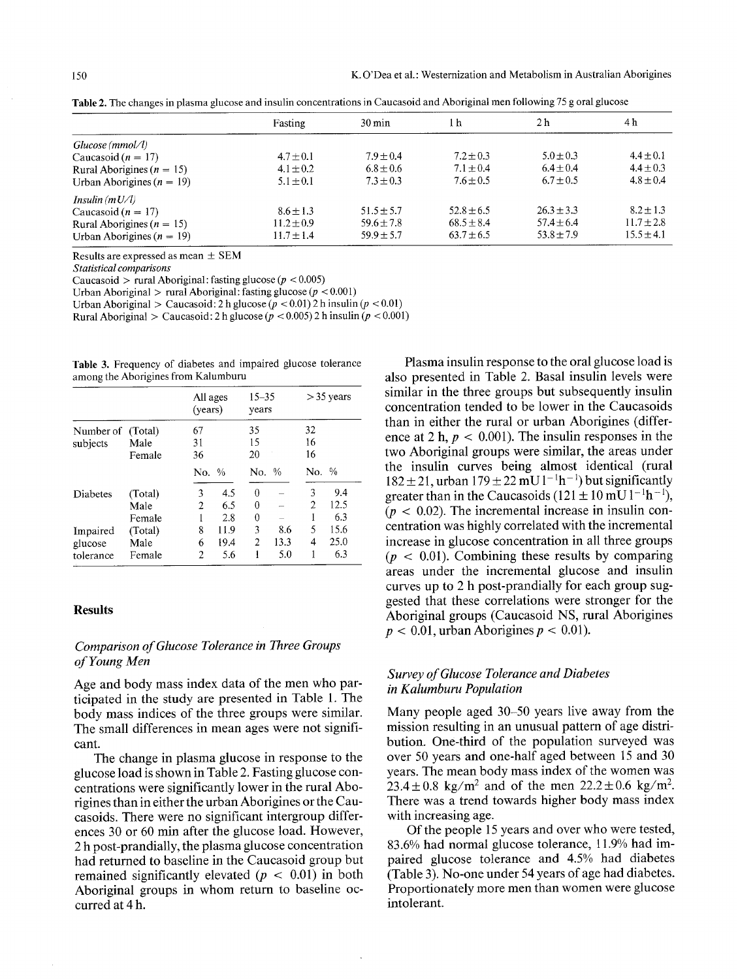|                               | Fasting        | $30 \,\mathrm{min}$ | l h            | 2 <sub>h</sub> | 4 h            |
|-------------------------------|----------------|---------------------|----------------|----------------|----------------|
| Glucose (mmol/l)              |                |                     |                |                |                |
| Caucasoid ( $n = 17$ )        | $4.7 \pm 0.1$  | $7.9 + 0.4$         | $7.2 \pm 0.3$  | $5.0 \pm 0.3$  | $4.4 \pm 0.1$  |
| Rural Aborigines ( $n = 15$ ) | $4.1 \pm 0.2$  | $6.8 \pm 0.6$       | $7.1 \pm 0.4$  | $6.4 + 0.4$    | $4.4 \pm 0.3$  |
| Urban Aborigines ( $n = 19$ ) | $5.1 \pm 0.1$  | $7.3 + 0.3$         | $7.6 \pm 0.5$  | $6.7 + 0.5$    | $4.8 \pm 0.4$  |
| Insulin(mU/l)                 |                |                     |                |                |                |
| Caucasoid $(n = 17)$          | $8.6 \pm 1.3$  | $51.5 \pm 5.7$      | $52.8 \pm 6.5$ | $26.3 \pm 3.3$ | $8.2 \pm 1.3$  |
| Rural Aborigines ( $n = 15$ ) | $11.2 \pm 0.9$ | $59.6 \pm 7.8$      | $68.5 \pm 8.4$ | $57.4 \pm 6.4$ | $11.7 \pm 2.8$ |
| Urban Aborigines ( $n = 19$ ) | $11.7 \pm 1.4$ | $59.9 \pm 5.7$      | $63.7 \pm 6.5$ | $53.8 \pm 7.9$ | $15.5 \pm 4.1$ |

Table 2. The changes in plasma glucose and insulin concentrations in Caucasoid and Aboriginal men following 75 g oral glucose

Results are expressed as mean  $\pm$  SEM

*Statistical comparisons* 

Caucasoid > rural Aboriginal: fasting glucose ( $p < 0.005$ )

Urban Aboriginal > rural Aboriginal: fasting glucose ( $p < 0.001$ )

Urban Aboriginal > Caucasoid: 2 h glucose ( $p < 0.01$ ) 2 h insulin ( $p < 0.01$ )

Rural Aboriginal  $>$  Caucasoid: 2 h glucose ( $p$  < 0.005) 2 h insulin ( $p$  < 0.001)

**Table** 3. Frequency of diabetes and impaired glucose tolerance among the Aborigines from Kalumburu

|           |         | All ages<br>(years) |       | $15 - 35$<br>years |       |    | $>$ 35 years |  |
|-----------|---------|---------------------|-------|--------------------|-------|----|--------------|--|
| Number of | (Total) | 67                  |       | 35                 |       | 32 |              |  |
| subjects  | Male    | 31                  |       | 15                 |       | 16 |              |  |
|           | Female  | 36                  |       | 20                 |       | 16 |              |  |
|           |         |                     | No. % |                    | No. % |    | No. $%$      |  |
| Diabetes  | (Total) | 3                   | 4.5   | 0                  |       | 3  | 9.4          |  |
|           | Male    | 2                   | 6.5   | 0                  |       | 2  | 12.5         |  |
|           | Female  |                     | 2.8   | 0                  |       |    | 6.3          |  |
| Impaired  | (Total) | 8                   | 11.9  | 3                  | 8.6   | 5  | 15.6         |  |
| glucose   | Male    | 6                   | 19.4  | $\mathfrak{D}$     | 13.3  | 4  | 25.0         |  |
| tolerance | Female  | 2                   | 5.6   |                    | 5.0   |    | 6.3          |  |

## **Results**

# *Comparison of Glucose Tolerance in Three Groups of Young Men*

Age and body mass index data of the men who participated in the study are presented in Table 1. The body mass indices of the three groups were similar. The small differences in mean ages were not significant.

The change in plasma glucose in response to the glucose load is shown in Table 2. Fasting glucose concentrations were significantly lower in the rural Aborigines than in either the urban Aborigines or the Caucasoids. There were no significant intergroup differences 30 or 60 min after the glucose load. However, 2 h post-prandially, the plasma glucose concentration had returned to baseline in the Caucasoid group but remained significantly elevated ( $p < 0.01$ ) in both Aboriginal groups in whom return to baseline occurred at 4 h.

Plasma insulin response to the oral glucose load is also presented in Table 2. Basal insulin levels were similar in the three groups but subsequently insulin concentration tended to be lower in the Caucasoids than in either the rural or urban Aborigines (difference at 2 h,  $p < 0.001$ ). The insulin responses in the two Aboriginal groups were similar, the areas under the insulin curves being almost identical (rural  $182 \pm 21$ , urban  $179 \pm 22$  mU  $1^{-1}h^{-1}$ ) but significantly greater than in the Caucasoids ( $121 \pm 10$  mU  $1^{-1}h^{-1}$ ),  $(p < 0.02)$ . The incremental increase in insulin concentration was highly correlated with the incremental increase in glucose concentration in all three groups  $(p < 0.01)$ . Combining these results by comparing areas under the incremental glucose and insulin curves up to 2 h post-prandially for each group suggested that these correlations were stronger for the Aboriginal groups (Caucasoid NS, rural Aborigines  $p < 0.01$ , urban Aborigines  $p < 0.01$ ).

# *Survey of Glucose Tolerance and Diabetes in Kalumburu Population*

Many people aged 30-50 years live away from the mission resulting in an unusual pattern of age distribution. One-third of the population surveyed was over 50 years and one-half aged between 15 and 30 years. The mean body mass index of the women was  $23.4 \pm 0.8$  kg/m<sup>2</sup> and of the men  $22.2 \pm 0.6$  kg/m<sup>2</sup>. There was a trend towards higher body mass index with increasing age.

Of the people 15 years and over who were tested, 83.6% had normal glucose tolerance, 11.9% had impaired glucose tolerance and 4.5% had diabetes (Table 3). No-one under 54 years of age had diabetes. Proportionately more men than women were glucose intolerant.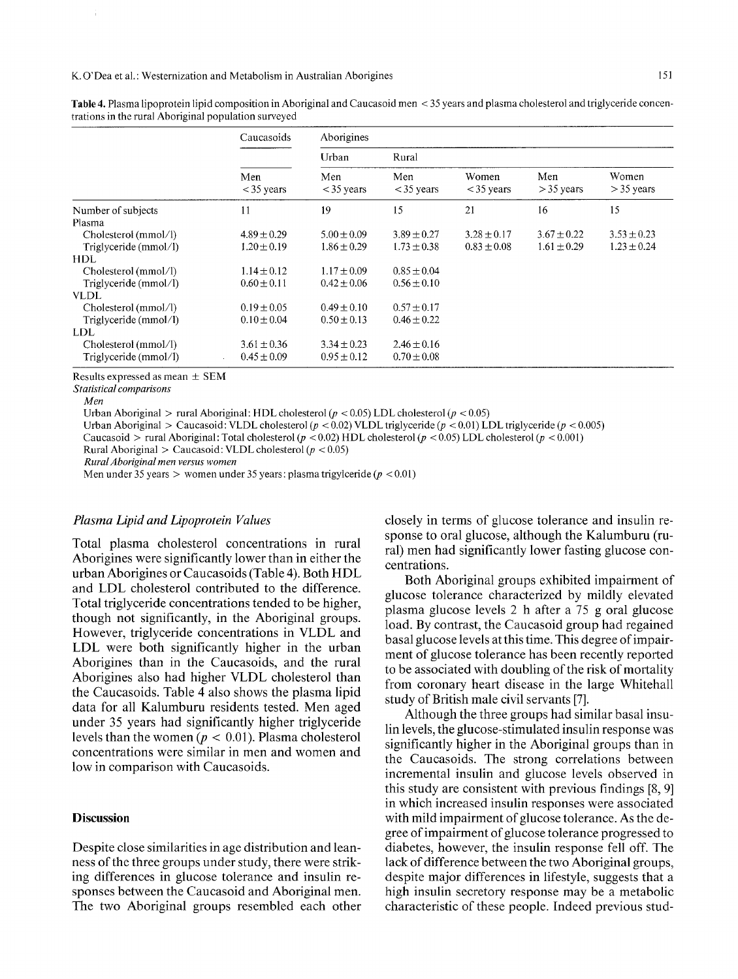|                       | Caucasoids<br>Men<br>$<$ 35 years | Aborigines          |                     |                       |                     |                       |  |
|-----------------------|-----------------------------------|---------------------|---------------------|-----------------------|---------------------|-----------------------|--|
|                       |                                   | Urban               | Rural               |                       |                     |                       |  |
|                       |                                   | Men<br>$<$ 35 years | Men<br>$<$ 35 years | Women<br>$<$ 35 years | Men<br>$>$ 35 years | Women<br>$>$ 35 years |  |
| Number of subjects    | 11                                | 19                  | 15                  | 21                    | 16                  | 15                    |  |
| Plasma                |                                   |                     |                     |                       |                     |                       |  |
| Cholesterol (mmol/l)  | $4.89 \pm 0.29$                   | $5.00 \pm 0.09$     | $3.89 \pm 0.27$     | $3.28 \pm 0.17$       | $3.67 \pm 0.22$     | $3.53 \pm 0.23$       |  |
| Triglyceride (mmol/l) | $1.20 \pm 0.19$                   | $1.86 \pm 0.29$     | $1.73 \pm 0.38$     | $0.83 \pm 0.08$       | $1.61 \pm 0.29$     | $1.23 \pm 0.24$       |  |
| HDL                   |                                   |                     |                     |                       |                     |                       |  |
| Cholesterol (mmol/l)  | $1.14 \pm 0.12$                   | $1.17 \pm 0.09$     | $0.85 \pm 0.04$     |                       |                     |                       |  |
| Triglyceride (mmol/l) | $0.60 \pm 0.11$                   | $0.42 + 0.06$       | $0.56 \pm 0.10$     |                       |                     |                       |  |
| VLDL                  |                                   |                     |                     |                       |                     |                       |  |
| Cholesterol (mmol/l)  | $0.19 \pm 0.05$                   | $0.49 \pm 0.10$     | $0.57 \pm 0.17$     |                       |                     |                       |  |
| Triglyceride (mmol/l) | $0.10 \pm 0.04$                   | $0.50 \pm 0.13$     | $0.46 \pm 0.22$     |                       |                     |                       |  |
| LDL                   |                                   |                     |                     |                       |                     |                       |  |
| Cholesterol (mmol/l)  | $3.61 \pm 0.36$                   | $3.34 \pm 0.23$     | $2.46 \pm 0.16$     |                       |                     |                       |  |
| Triglyceride (mmol/l) | $0.45 \pm 0.09$                   | $0.95 \pm 0.12$     | $0.70 \pm 0.08$     |                       |                     |                       |  |

**Table** 4. Plasma lipoprotein lipid composition in Aboriginal and Caucasoid men < 35 years and plasma cholesterol and triglyceride concentrations in the rural Aboriginal population surveyed

Results expressed as mean  $\pm$  SEM

*Statistical comparisons* 

*Men* 

Urban Aboriginal > rural Aboriginal: HDL cholesterol ( $p < 0.05$ ) LDL cholesterol ( $p < 0.05$ )

Urban Aboriginal > Caucasoid: VLDL cholesterol ( $p < 0.02$ ) VLDL triglyceride ( $p < 0.01$ ) LDL triglyceride ( $p < 0.005$ )

Caucasoid > rural Aboriginal: Total cholesterol ( $p < 0.02$ ) HDL cholesterol ( $p < 0.05$ ) LDL cholesterol ( $p < 0.001$ )

Rural Aboriginal  $>$  Caucasoid: VLDL cholesterol ( $p < 0.05$ )

*Rural Aboriginal men versus women* 

Men under 35 years > women under 35 years: plasma trigylceride ( $p < 0.01$ )

### *Plasma Lipid and Lipoprotein Values*

Total plasma cholesterol concentrations in rural Aborigines were significantly lower than in either the urban Aborigines or Caucasoids (Table 4). Both HDL and LDL cholesterol contributed to the difference. Total triglyceride concentrations tended to be higher, though not significantly, in the Aboriginal groups. However, triglyceride concentrations in VLDL and LDL were both significantly higher in the urban Aborigines than in the Caucasoids, and the rural Aborigines also had higher VLDL cholesterol than the Caucasoids. Table 4 also shows the plasma lipid data for all Kalumburu residents tested. Men aged under 35 years had significantly higher triglyceride levels than the women ( $p < 0.01$ ). Plasma cholesterol concentrations were similar in men and women and low in comparison with Caucasoids.

#### **Discussion**

Despite close similarities in age distribution and leanness of the three groups under study, there were striking differences in glucose tolerance and insulin responses between the Caucasoid and Aboriginal men. The two Aboriginal groups resembled each other

closely in terms of glucose tolerance and insulin response to oral glucose, although the Kalumburu (rural) men had significantly lower fasting glucose concentrations.

Both Aboriginal groups exhibited impairment of glucose tolerance characterized by mildly elevated plasma glucose levels 2 h after a 75 g oral glucose load. By contrast, the Caucasoid group had regained basal glucose levels at this time. This degree of impairment of glucose tolerance has been recently reported to be associated with doubling of the risk of mortality from coronary heart disease in the large Whitehall study of British male civil servants [7].

Although the three groups had similar basal insulin levels, the glucose-stimulated insulin response was significantly higher in the Aboriginal groups than in the Caucasoids. The strong correlations between incremental insulin and glucose levels observed in this study are consistent with previous findings [8, 9] in which increased insulin responses were associated with mild impairment of glucose tolerance. As the degree of impairment of glucose tolerance progressed to diabetes, however, the insulin response fell off. The lack of difference between the two Aboriginal groups, despite major differences in lifestyle, suggests that a high insulin secretory response may be a metabolic characteristic of these people. Indeed previous stud-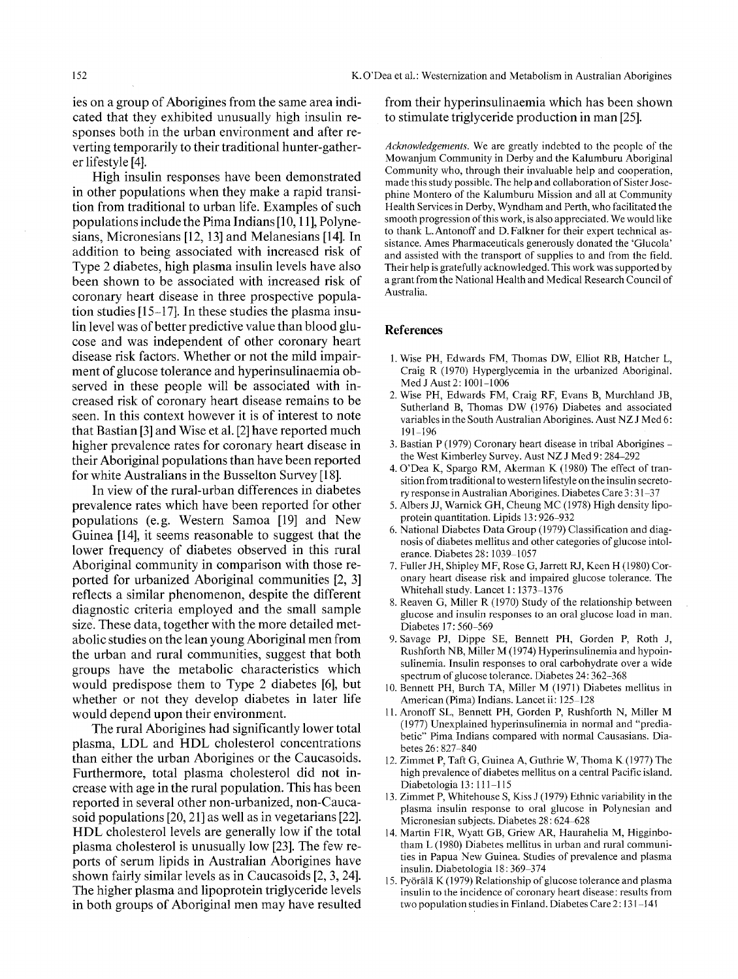ies on a group of Aborigines from the same area indicated that they exhibited unusually high insulin responses both in the urban environment and after reverting temporarily to their traditional hunter-gatherer lifestyle [4].

High insulin responses have been demonstrated in other populations when they make a rapid transition from traditional to urban life. Examples of such populations include the Pima Indians [10, 11], Polynesians, Micronesians [12, 13] and Melanesians [14]. In addition to being associated with increased risk of Type 2 diabetes, high plasma insulin levels have also been shown to be associated with increased risk of coronary heart disease in three prospective population studies [15-17]. In these studies the plasma insulin level was of better predictive value than blood glucose and was independent of other coronary heart disease risk factors. Whether or not the mild impairment of glucose tolerance and hyperinsulinaemia observed in these people will be associated with increased risk of coronary heart disease remains to be seen. In this context however it is of interest to note that Bastian [3] and Wise et al. [2] have reported much higher prevalence rates for coronary heart disease in their Aboriginal populations than have been reported for white Australians in the Busselton Survey [18].

In view of the rural-urban differences in diabetes prevalence rates which have been reported for other populations (e.g. Western Samoa [19] and New Guinea [14], it seems reasonable to suggest that the lower frequency of diabetes observed in this rural Aboriginal community in comparison with those reported for urbanized Aboriginal communities [2, 3] reflects a similar phenomenon, despite the different diagnostic criteria employed and the small sample size. These data, together with the more detailed metabolic studies on the lean young Aboriginal men from the urban and rural communities, suggest that both groups have the metabolic characteristics which would predispose them to Type 2 diabetes [6], but whether or not they develop diabetes in later life would depend upon their environment.

The rural Aborigines had significantly lower total plasma, LDL and HDL cholesterol concentrations than either the urban Aborigines or the Caucasoids. Furthermore, total plasma cholesterol did not increase with age in the rural population. This has been reported in several other non-urbanized, non-Caucasoid populations [20, 21] as well as in vegetarians [22]. HDL cholesterol levels are generally low if the total plasma cholesterol is unusually low [23]. The few reports of serum lipids in Australian Aborigines have shown fairly similar levels as in Caucasoids [2, 3, 24]. The higher plasma and lipoprotein triglyceride levels in both groups of Aboriginal men may have resulted

from their hyperinsulinaemia which has been shown to stimulate triglyceride production in man [25].

*Acknowledgements.* We are greatly indebted to the people of the Mowanjum Community in Derby and the Kalumburu Aboriginal Community who, through their invaluable help and cooperation, made this study possible. The help and collaboration of Sister Josephine Montero of the Kalumburu Mission and all at Community Health Services in Derby, Wyndham and Perth, who facilitated the smooth progression of this work, is also appreciated. We would like to thank L. Antonoff and D. Falkner for their expert technical assistance. Ames Pharmaceuticals generously donated the 'Glucola' and assisted with the transport of supplies to and from the field. Their help is gratefully acknowledged. This work was supported by a grant from the National Health and Medical Research Council of Australia.

### **References**

- 1. Wise PH, Edwards FM, Thomas DW, Elliot RB, Hatcher L, Craig R (1970) Hyperglycemia in the urbanized Aboriginal. Med J Aust 2:1001-1006
- 2. Wise PH, Edwards FM, Craig RF, Evans B, Murchland JB, Sutherland B, Thomas DW (1976) Diabetes and associated variables in the South Australian Aborigines. Aust NZ J Med 6: 191 196
- 3. Bastian P (1979) Coronary heart disease in tribal Aborigines the West Kimberley Survey. Aust NZ J Med 9: 284-292
- 4. O'Dea K, Spargo RM, Akerman K (1980) The effect of transition from traditional to western lifestyle on the insulin secretory response in Australian Aborigines. Diabetes Care 3:31-37
- 5. Albers JJ, Warnick GH, Cheung MC (1978) High density lipoprotein quantitation. Lipids 13:926-932
- 6. National Diabetes Data Group (1979) Classification and diagnosis of diabetes mellitus and other categories of glucose intolerance. Diabetes 28: 1039-1057
- 7. Fuller JH, Shipley MF, Rose G, Jarrett RJ, Keen H (1980) Coronary heart disease risk and impaired glucose tolerance. The Whitehall study. Lancet 1: 1373-1376
- 8. Reaven G, Miller R (1970) Study of the relationship between glucose and insulin responses to an oral glucose load in man. Diabetes 17:560-569
- 9. Savage PJ, Dippe SE, Bennett PH, Gorden P, Roth J, Rushforth NB, Miller M (1974) Hyperinsulinemia and hypoinsulinemia. Insulin responses to oral carbohydrate over a wide spectrum of glucose tolerance. Diabetes 24:362-368
- 10. Bennett PH, Burch TA, Miller M (1971) Diabetes metlitus in American (Pima) Indians. Lancet ii: 125-128
- 11. Aronoff SL, Bennett PH, Gorden P, Rushforth N, Miller M (1977) Unexplained hyperinsulinemia in normal and "prediabetic" Pima Indians compared with normal Causasians. Diabetes 26:827-840
- 12. Zimmet P, Taft G, Guinea A, Guthrie W, Thoma K (1977) The high prevalence of diabetes mellitus on a central Pacific island. Diabetologia 13:1 **t 1-115**
- 13. Zimmet P, Whitehouse S, Kiss J (1979) Ethnic variability in the plasma insulin response to oral glucose in Polynesian and Micronesian subjects. Diabetes 28:624-628
- 14. Martin FIR, Wyatt GB, Griew AR, Haurahelia M, Higginbotham L (1980) Diabetes mellitus in urban and rural communities in Papua New Guinea. Studies of prevalence and plasma insulin. Diabetologia 18:369-374
- 15. Pyörälä K (1979) Relationship of glucose tolerance and plasma insulin to the incidence of coronary heart disease: results from two population studies in Finland. Diabetes Care 2: **131-141**